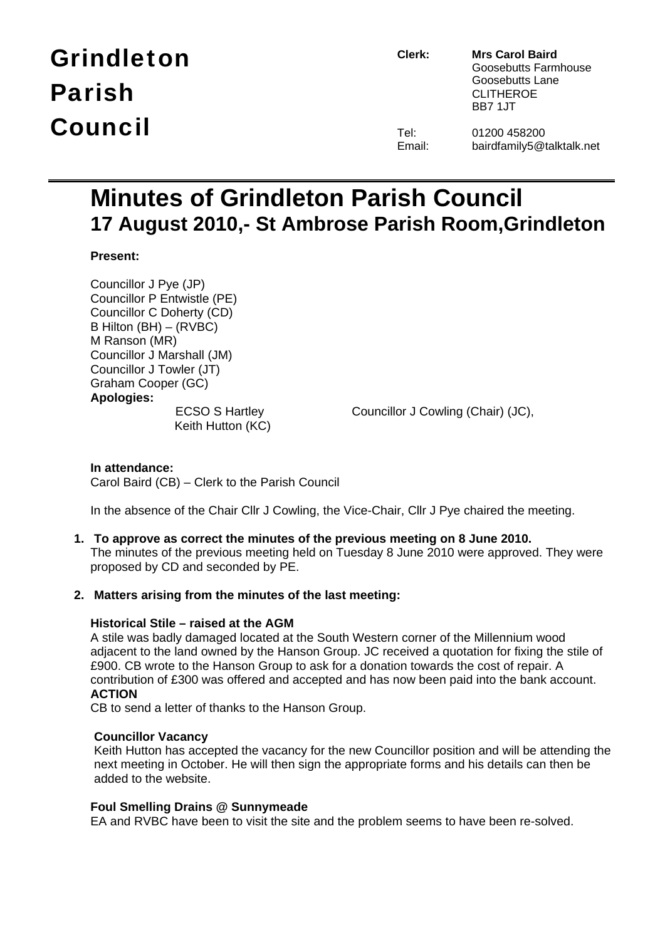# Grindleton Parish Council

**Clerk: Mrs Carol Baird** Goosebutts Farmhouse Goosebutts Lane CLITHEROE BB7 1JT

| Tel:   | 01200 458200  |
|--------|---------------|
| Email: | bairdfamily5@ |

iirdfamily5@talktalk.net

# **Minutes of Grindleton Parish Council 17 August 2010,- St Ambrose Parish Room,Grindleton**

# **Present:**

Councillor J Pye (JP) Councillor P Entwistle (PE) Councillor C Doherty (CD) B Hilton (BH) – (RVBC) M Ranson (MR) Councillor J Marshall (JM) Councillor J Towler (JT) Graham Cooper (GC) **Apologies:** Keith Hutton (KC)

ECSO S Hartley Councillor J Cowling (Chair) (JC),

### **In attendance:**  Carol Baird (CB) – Clerk to the Parish Council

In the absence of the Chair Cllr J Cowling, the Vice-Chair, Cllr J Pye chaired the meeting.

# **1. To approve as correct the minutes of the previous meeting on 8 June 2010.**

The minutes of the previous meeting held on Tuesday 8 June 2010 were approved. They were proposed by CD and seconded by PE.

### **2. Matters arising from the minutes of the last meeting:**

### **Historical Stile – raised at the AGM**

A stile was badly damaged located at the South Western corner of the Millennium wood adjacent to the land owned by the Hanson Group. JC received a quotation for fixing the stile of £900. CB wrote to the Hanson Group to ask for a donation towards the cost of repair. A contribution of £300 was offered and accepted and has now been paid into the bank account. **ACTION** 

CB to send a letter of thanks to the Hanson Group.

### **Councillor Vacancy**

Keith Hutton has accepted the vacancy for the new Councillor position and will be attending the next meeting in October. He will then sign the appropriate forms and his details can then be added to the website.

### **Foul Smelling Drains @ Sunnymeade**

EA and RVBC have been to visit the site and the problem seems to have been re-solved.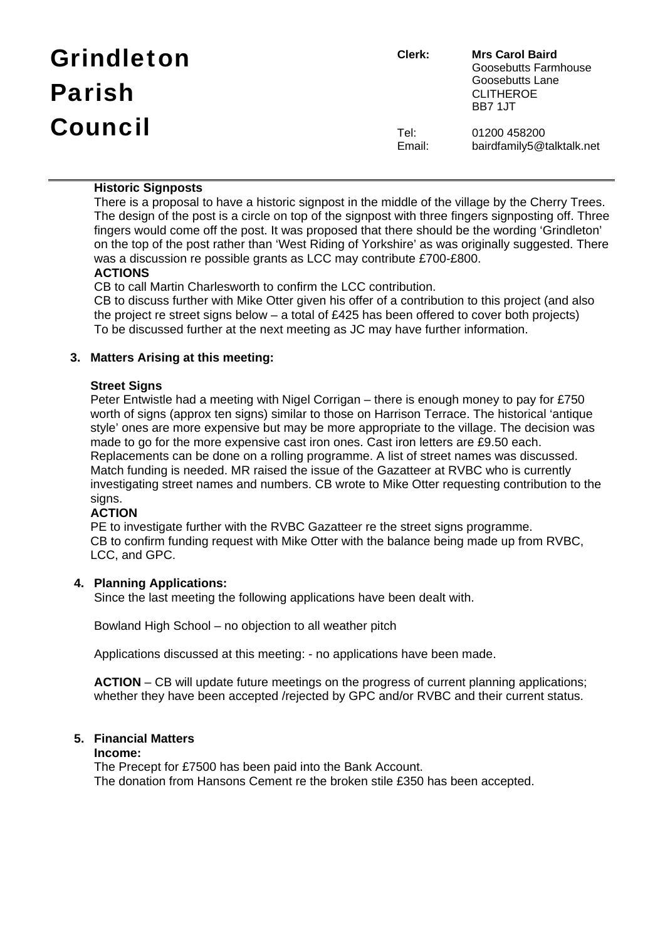| <b>Grindleton</b> | Clerk:         | <b>Mrs Carol Baird</b><br>Goosebutts Farmhouse         |
|-------------------|----------------|--------------------------------------------------------|
| <b>Parish</b>     |                | Goosebutts Lane<br><b>CLITHEROE</b><br><b>BB7 1.JT</b> |
| <b>Council</b>    | Tel:<br>Email: | 01200 458200<br>bairdfamily5@talktalk.net              |

### **Historic Signposts**

There is a proposal to have a historic signpost in the middle of the village by the Cherry Trees. The design of the post is a circle on top of the signpost with three fingers signposting off. Three fingers would come off the post. It was proposed that there should be the wording 'Grindleton' on the top of the post rather than 'West Riding of Yorkshire' as was originally suggested. There was a discussion re possible grants as LCC may contribute £700-£800.

# **ACTIONS**

CB to call Martin Charlesworth to confirm the LCC contribution.

CB to discuss further with Mike Otter given his offer of a contribution to this project (and also the project re street signs below – a total of £425 has been offered to cover both projects) To be discussed further at the next meeting as JC may have further information.

# **3. Matters Arising at this meeting:**

### **Street Signs**

Peter Entwistle had a meeting with Nigel Corrigan – there is enough money to pay for £750 worth of signs (approx ten signs) similar to those on Harrison Terrace. The historical 'antique style' ones are more expensive but may be more appropriate to the village. The decision was made to go for the more expensive cast iron ones. Cast iron letters are £9.50 each. Replacements can be done on a rolling programme. A list of street names was discussed. Match funding is needed. MR raised the issue of the Gazatteer at RVBC who is currently investigating street names and numbers. CB wrote to Mike Otter requesting contribution to the sians.

# **ACTION**

PE to investigate further with the RVBC Gazatteer re the street signs programme. CB to confirm funding request with Mike Otter with the balance being made up from RVBC, LCC, and GPC.

### **4. Planning Applications:**

Since the last meeting the following applications have been dealt with.

Bowland High School – no objection to all weather pitch

Applications discussed at this meeting: - no applications have been made.

**ACTION** – CB will update future meetings on the progress of current planning applications; whether they have been accepted /rejected by GPC and/or RVBC and their current status.

# **5. Financial Matters**

### **Income:**

The Precept for £7500 has been paid into the Bank Account. The donation from Hansons Cement re the broken stile £350 has been accepted.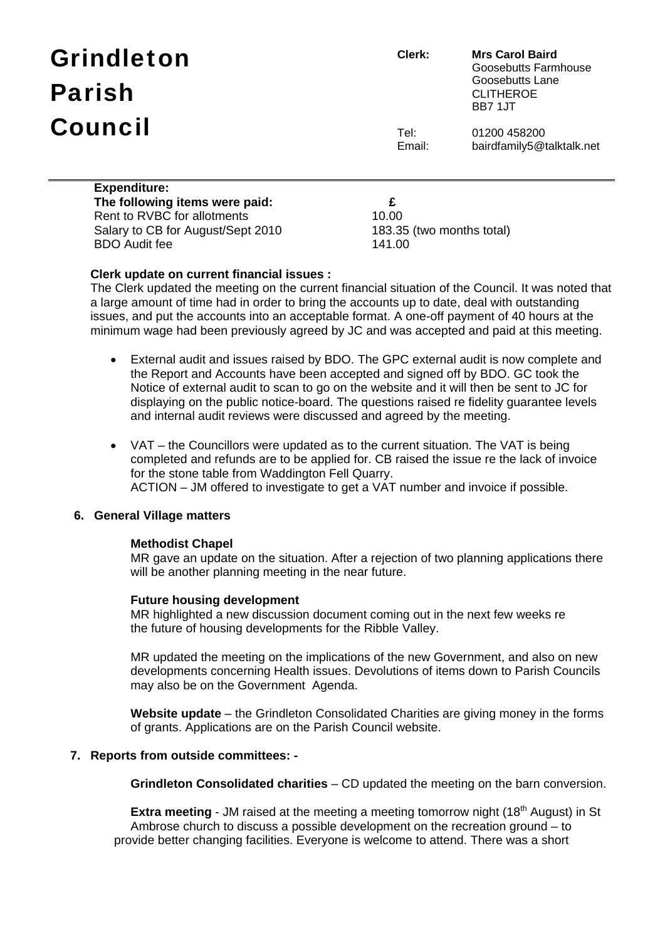# Grindleton Parish Council

**Clerk: Mrs Carol Baird** Goosebutts Farmhouse Goosebutts Lane CLITHEROE BB7 1JT

Tel: 01200 458200 Email: bairdfamily5@talktalk.net

| <b>Expenditure:</b>               |        |
|-----------------------------------|--------|
| The following items were paid:    | £      |
| Rent to RVBC for allotments       | 10.00  |
| Salary to CB for August/Sept 2010 | 183.35 |
| <b>BDO</b> Audit fee              | 141.00 |

183.35 (two months total)

### **Clerk update on current financial issues :**

The Clerk updated the meeting on the current financial situation of the Council. It was noted that a large amount of time had in order to bring the accounts up to date, deal with outstanding issues, and put the accounts into an acceptable format. A one-off payment of 40 hours at the minimum wage had been previously agreed by JC and was accepted and paid at this meeting.

- External audit and issues raised by BDO. The GPC external audit is now complete and the Report and Accounts have been accepted and signed off by BDO. GC took the Notice of external audit to scan to go on the website and it will then be sent to JC for displaying on the public notice-board. The questions raised re fidelity guarantee levels and internal audit reviews were discussed and agreed by the meeting.
- VAT the Councillors were updated as to the current situation. The VAT is being completed and refunds are to be applied for. CB raised the issue re the lack of invoice for the stone table from Waddington Fell Quarry. ACTION – JM offered to investigate to get a VAT number and invoice if possible.

#### **6. General Village matters**

#### **Methodist Chapel**

MR gave an update on the situation. After a rejection of two planning applications there will be another planning meeting in the near future.

#### **Future housing development**

MR highlighted a new discussion document coming out in the next few weeks re the future of housing developments for the Ribble Valley.

 MR updated the meeting on the implications of the new Government, and also on new developments concerning Health issues. Devolutions of items down to Parish Councils may also be on the Government Agenda.

 **Website update** – the Grindleton Consolidated Charities are giving money in the forms of grants. Applications are on the Parish Council website.

### **7. Reports from outside committees: -**

 **Grindleton Consolidated charities** – CD updated the meeting on the barn conversion.

**Extra meeting** - JM raised at the meeting a meeting tomorrow night (18<sup>th</sup> August) in St Ambrose church to discuss a possible development on the recreation ground – to provide better changing facilities. Everyone is welcome to attend. There was a short